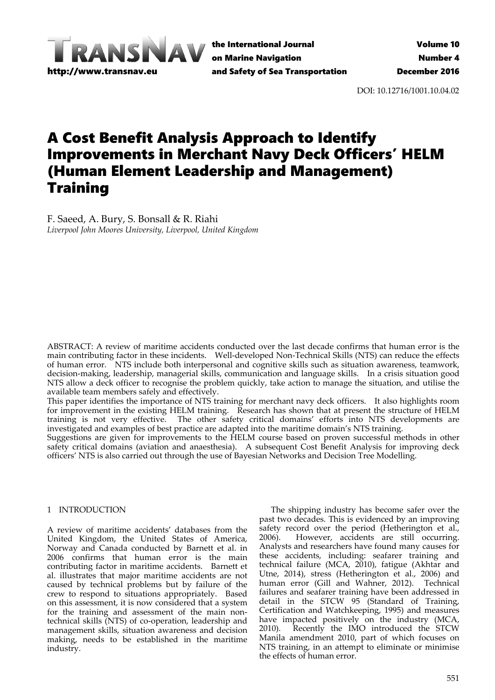

the International Journal on Marine Navigation and Safety of Sea Transportation

DOI: 10.12716/1001.10.04.02

# A Cost Benefit Analysis Approach to Identify Improvements in Merchant Navy Deck Officers' HELM (Human Element Leadership and Management) **Training**

F. Saeed, A. Bury, S. Bonsall & R. Riahi *Liverpool John Moores University, Liverpool, United Kingdom*

ABSTRACT: A review of maritime accidents conducted over the last decade confirms that human error is the main contributing factor in these incidents. Well-developed Non-Technical Skills (NTS) can reduce the effects of human error. NTS include both interpersonal and cognitive skills such as situation awareness, teamwork, decision-making, leadership, managerial skills, communication and language skills. In a crisis situation good NTS allow a deck officer to recognise the problem quickly, take action to manage the situation, and utilise the available team members safely and effectively.

This paper identifies the importance of NTS training for merchant navy deck officers. It also highlights room for improvement in the existing HELM training. Research has shown that at present the structure of HELM training is not very effective. The other safety critical domains' efforts into NTS developments are investigated and examples of best practice are adapted into the maritime domain's NTS training.

Suggestions are given for improvements to the HELM course based on proven successful methods in other safety critical domains (aviation and anaesthesia). A subsequent Cost Benefit Analysis for improving deck officers' NTS is also carried out through the use of Bayesian Networks and Decision Tree Modelling.

# 1 INTRODUCTION

A review of maritime accidents' databases from the United Kingdom, the United States of America, Norway and Canada conducted by Barnett et al. in 2006 confirms that human error is the main contributing factor in maritime accidents. Barnett et al. illustrates that major maritime accidents are not caused by technical problems but by failure of the crew to respond to situations appropriately. Based on this assessment, it is now considered that a system for the training and assessment of the main nontechnical skills (NTS) of co-operation, leadership and management skills, situation awareness and decision making, needs to be established in the maritime industry.

The shipping industry has become safer over the past two decades. This is evidenced by an improving safety record over the period (Hetherington et al., 2006). However, accidents are still occurring. However, accidents are still occurring. Analysts and researchers have found many causes for these accidents, including: seafarer training and technical failure (MCA, 2010), fatigue (Akhtar and Utne, 2014), stress (Hetherington et al., 2006) and human error (Gill and Wahner, 2012). Technical failures and seafarer training have been addressed in detail in the STCW 95 (Standard of Training, Certification and Watchkeeping, 1995) and measures have impacted positively on the industry (MCA, 2010). Recently the IMO introduced the STCW Manila amendment 2010, part of which focuses on NTS training, in an attempt to eliminate or minimise the effects of human error.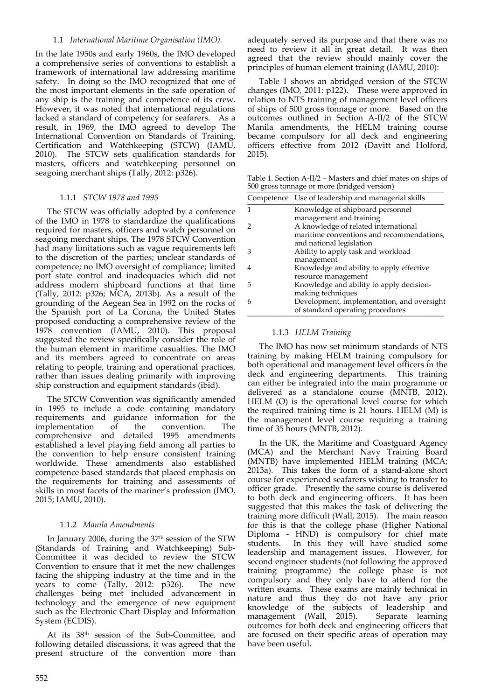## 1.1 *International Maritime Organisation (IMO).*

In the late 1950s and early 1960s, the IMO developed a comprehensive series of conventions to establish a framework of international law addressing maritime safety. In doing so the IMO recognized that one of the most important elements in the safe operation of any ship is the training and competence of its crew. However, it was noted that international regulations lacked a standard of competency for seafarers. As a result, in 1969, the IMO agreed to develop The International Convention on Standards of Training, Certification and Watchkeeping (STCW) (IAMU, 2010). The STCW sets qualification standards for masters, officers and watchkeeping personnel on seagoing merchant ships (Tally, 2012: p326).

## 1.1.1 *STCW 1978 and 1995*

The STCW was officially adopted by a conference of the IMO in 1978 to standardize the qualifications required for masters, officers and watch personnel on seagoing merchant ships. The 1978 STCW Convention had many limitations such as vague requirements left to the discretion of the parties; unclear standards of competence; no IMO oversight of compliance; limited port state control and inadequacies which did not address modern shipboard functions at that time (Tally, 2012: p326; MCA, 2013b). As a result of the grounding of the Aegean Sea in 1992 on the rocks of the Spanish port of La Coruna, the United States proposed conducting a comprehensive review of the 1978 convention (IAMU, 2010). This proposal suggested the review specifically consider the role of the human element in maritime casualties. The IMO and its members agreed to concentrate on areas relating to people, training and operational practices, rather than issues dealing primarily with improving ship construction and equipment standards (ibid).

The STCW Convention was significantly amended in 1995 to include a code containing mandatory requirements and guidance information for the implementation of the convention. The comprehensive and detailed 1995 amendments established a level playing field among all parties to the convention to help ensure consistent training worldwide. These amendments also established competence based standards that placed emphasis on the requirements for training and assessments of skills in most facets of the mariner's profession (IMO, 2015; IAMU, 2010).

#### 1.1.2 *Manila Amendments*

In January 2006, during the  $37<sup>th</sup>$  session of the STW (Standards of Training and Watchkeeping) Sub‐ Committee it was decided to review the STCW Convention to ensure that it met the new challenges facing the shipping industry at the time and in the years to come (Tally, 2012: p326). The new challenges being met included advancement in technology and the emergence of new equipment such as the Electronic Chart Display and Information System (ECDIS).

At its 38th session of the Sub‐Committee, and following detailed discussions, it was agreed that the present structure of the convention more than adequately served its purpose and that there was no need to review it all in great detail. It was then agreed that the review should mainly cover the principles of human element training (IAMU, 2010):

Table 1 shows an abridged version of the STCW changes (IMO, 2011: p122). These were approved in relation to NTS training of management level officers of ships of 500 gross tonnage or more. Based on the outcomes outlined in Section A‐II/2 of the STCW Manila amendments, the HELM training course became compulsory for all deck and engineering officers effective from 2012 (Davitt and Holford, 2015).

Table 1. Section A‐II/2 – Masters and chief mates on ships of 500 gross tonnage or more (bridged version)

|   | Competence Use of leadership and managerial skills |
|---|----------------------------------------------------|
|   | Knowledge of shipboard personnel                   |
|   | management and training                            |
|   | A knowledge of related international               |
|   | maritime conventions and recommendations,          |
|   | and national legislation                           |
| З | Ability to apply task and workload                 |
|   | management                                         |
|   | Knowledge and ability to apply effective           |
|   | resource management                                |
| 5 | Knowledge and ability to apply decision-           |
|   | making techniques                                  |
| 6 | Development, implementation, and oversight         |
|   | of standard operating procedures                   |

## 1.1.3 *HELM Training*

The IMO has now set minimum standards of NTS training by making HELM training compulsory for both operational and management level officers in the deck and engineering departments. This training can either be integrated into the main programme or delivered as a standalone course (MNTB, 2012). HELM (O) is the operational level course for which the required training time is 21 hours. HELM (M) is the management level course requiring a training time of 35 hours (MNTB, 2012).

In the UK, the Maritime and Coastguard Agency (MCA) and the Merchant Navy Training Board (MNTB) have implemented HELM training (MCA;  $2013a$ ). This takes the form of a stand-alone short course for experienced seafarers wishing to transfer to officer grade. Presently the same course is delivered to both deck and engineering officers. It has been suggested that this makes the task of delivering the training more difficult (Wall, 2015). The main reason for this is that the college phase (Higher National Diploma - HND) is compulsory for chief mate students. In this they will have studied some leadership and management issues. However, for second engineer students (not following the approved training programme) the college phase is not compulsory and they only have to attend for the written exams. These exams are mainly technical in nature and thus they do not have any prior knowledge of the subjects of leadership and management (Wall, 2015). Separate learning outcomes for both deck and engineering officers that are focused on their specific areas of operation may have been useful.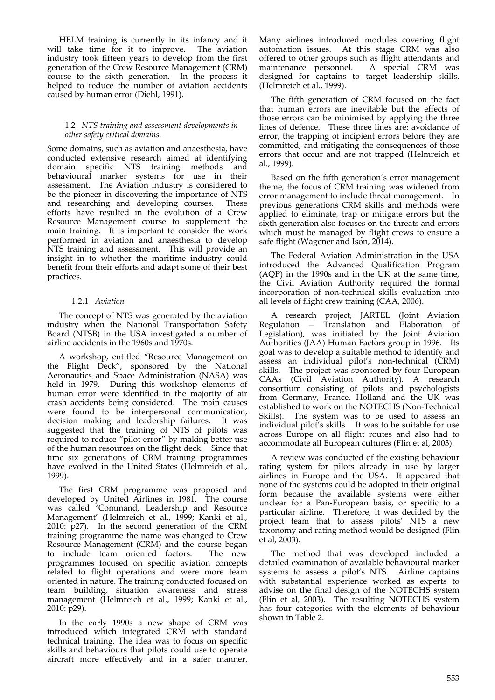HELM training is currently in its infancy and it will take time for it to improve. industry took fifteen years to develop from the first generation of the Crew Resource Management (CRM) course to the sixth generation. In the process it helped to reduce the number of aviation accidents caused by human error (Diehl, 1991).

#### 1.2 *NTS training and assessment developments in other safety critical domains.*

Some domains, such as aviation and anaesthesia, have conducted extensive research aimed at identifying domain specific NTS training methods and behavioural marker systems for use in their assessment. The Aviation industry is considered to be the pioneer in discovering the importance of NTS and researching and developing courses. These efforts have resulted in the evolution of a Crew Resource Management course to supplement the main training. It is important to consider the work performed in aviation and anaesthesia to develop NTS training and assessment. This will provide an insight in to whether the maritime industry could benefit from their efforts and adapt some of their best practices.

## 1.2.1 *Aviation*

The concept of NTS was generated by the aviation industry when the National Transportation Safety Board (NTSB) in the USA investigated a number of airline accidents in the 1960s and 1970s.

A workshop, entitled "Resource Management on the Flight Deck", sponsored by the National Aeronautics and Space Administration (NASA) was held in 1979. During this workshop elements of human error were identified in the majority of air crash accidents being considered. The main causes were found to be interpersonal communication, decision making and leadership failures. It was suggested that the training of NTS of pilots was required to reduce "pilot error" by making better use of the human resources on the flight deck. Since that time six generations of CRM training programmes have evolved in the United States (Helmreich et al., 1999).

The first CRM programme was proposed and developed by United Airlines in 1981. The course was called 'Command, Leadership and Resource Management' (Helmreich et al., 1999; Kanki et al., 2010: p27). In the second generation of the CRM training programme the name was changed to Crew Resource Management (CRM) and the course began to include team oriented factors. The new programmes focused on specific aviation concepts related to flight operations and were more team oriented in nature. The training conducted focused on team building, situation awareness and stress management (Helmreich et al., 1999; Kanki et al., 2010: p29).

In the early 1990s a new shape of CRM was introduced which integrated CRM with standard technical training. The idea was to focus on specific skills and behaviours that pilots could use to operate aircraft more effectively and in a safer manner.

Many airlines introduced modules covering flight automation issues. At this stage CRM was also offered to other groups such as flight attendants and maintenance personnel. A special CRM was A special CRM was designed for captains to target leadership skills. (Helmreich et al., 1999).

The fifth generation of CRM focused on the fact that human errors are inevitable but the effects of those errors can be minimised by applying the three lines of defence. These three lines are: avoidance of error, the trapping of incipient errors before they are committed, and mitigating the consequences of those errors that occur and are not trapped (Helmreich et al., 1999).

Based on the fifth generation's error management theme, the focus of CRM training was widened from error management to include threat management. In previous generations CRM skills and methods were applied to eliminate, trap or mitigate errors but the sixth generation also focuses on the threats and errors which must be managed by flight crews to ensure a safe flight (Wagener and Ison, 2014).

The Federal Aviation Administration in the USA introduced the Advanced Qualification Program (AQP) in the 1990s and in the UK at the same time, the Civil Aviation Authority required the formal incorporation of non-technical skills evaluation into all levels of flight crew training (CAA, 2006).

A research project, JARTEL (Joint Aviation Regulation – Translation and Elaboration of Legislation), was initiated by the Joint Aviation Authorities (JAA) Human Factors group in 1996. Its goal was to develop a suitable method to identify and assess an individual pilot's non‐technical (CRM) skills. The project was sponsored by four European CAAs (Civil Aviation Authority). A research consortium consisting of pilots and psychologists from Germany, France, Holland and the UK was established to work on the NOTECHS (Non‐Technical Skills). The system was to be used to assess an individual pilot's skills. It was to be suitable for use across Europe on all flight routes and also had to accommodate all European cultures (Flin et al, 2003).

A review was conducted of the existing behaviour rating system for pilots already in use by larger airlines in Europe and the USA. It appeared that none of the systems could be adopted in their original form because the available systems were either unclear for a Pan‐European basis, or specific to a particular airline. Therefore, it was decided by the project team that to assess pilots' NTS a new taxonomy and rating method would be designed (Flin et al, 2003).

The method that was developed included a detailed examination of available behavioural marker systems to assess a pilot's NTS. Airline captains with substantial experience worked as experts to advise on the final design of the NOTECHS system (Flin et al, 2003). The resulting NOTECHS system has four categories with the elements of behaviour shown in Table 2.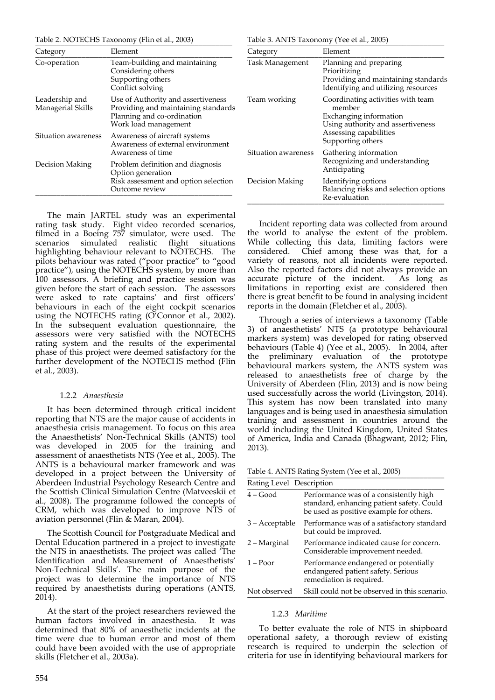Table 2. NOTECHS Taxonomy (Flin et al., 2003)

|--|

| Category                            | Element                                                                                                                         | Category            | Element                                                                                                              |  |
|-------------------------------------|---------------------------------------------------------------------------------------------------------------------------------|---------------------|----------------------------------------------------------------------------------------------------------------------|--|
| Co-operation                        | Team-building and maintaining<br>Considering others<br>Supporting others<br>Conflict solving                                    | Task Management     | Planning and preparing<br>Prioritizing<br>Providing and maintaining standards<br>Identifying and utilizing resources |  |
| Leadership and<br>Managerial Skills | Use of Authority and assertiveness<br>Providing and maintaining standards<br>Planning and co-ordination<br>Work load management |                     | Coordinating activities with team<br>member<br>Exchanging information<br>Using authority and assertiveness           |  |
| Situation awareness                 | Awareness of aircraft systems<br>Awareness of external environment<br>Awareness of time                                         |                     | Assessing capabilities<br>Supporting others                                                                          |  |
|                                     |                                                                                                                                 | Situation awareness | Gathering information                                                                                                |  |
| Decision Making                     | Problem definition and diagnosis<br>Option generation                                                                           |                     | Recognizing and understanding<br>Anticipating                                                                        |  |
|                                     | Risk assessment and option selection<br>Outcome review                                                                          | Decision Making     | Identifying options<br>Balancing risks and selection options<br>Re-evaluation                                        |  |

The main JARTEL study was an experimental rating task study. Eight video recorded scenarios, filmed in a Boeing 757 simulator, were used. The scenarios simulated realistic flight situations highlighting behaviour relevant to NOTECHS. The pilots behaviour was rated ("poor practice" to "good practice"), using the NOTECHS system, by more than 100 assessors. A briefing and practice session was given before the start of each session. The assessors were asked to rate captains' and first officers' behaviours in each of the eight cockpit scenarios using the NOTECHS rating  $(\tilde{O}^{\prime}$ Connor et al., 2002). In the subsequent evaluation questionnaire, the assessors were very satisfied with the NOTECHS rating system and the results of the experimental phase of this project were deemed satisfactory for the further development of the NOTECHS method (Flin et al., 2003).

#### 1.2.2 *Anaesthesia*

It has been determined through critical incident reporting that NTS are the major cause of accidents in anaesthesia crisis management. To focus on this area the Anaesthetists' Non‐Technical Skills (ANTS) tool was developed in 2005 for the training and assessment of anaesthetists NTS (Yee et al., 2005). The ANTS is a behavioural marker framework and was developed in a project between the University of Aberdeen Industrial Psychology Research Centre and the Scottish Clinical Simulation Centre (Matveeskii et al., 2008). The programme followed the concepts of CRM, which was developed to improve NTS of aviation personnel (Flin & Maran, 2004).

The Scottish Council for Postgraduate Medical and Dental Education partnered in a project to investigate the NTS in anaesthetists. The project was called 'The Identification and Measurement of Anaesthetists' Non‐Technical Skills'. The main purpose of the project was to determine the importance of NTS required by anaesthetists during operations (ANTS,  $2014$ ).

At the start of the project researchers reviewed the human factors involved in anaesthesia. It was determined that 80% of anaesthetic incidents at the time were due to human error and most of them could have been avoided with the use of appropriate skills (Fletcher et al.*,* 2003a).

the world to analyse the extent of the problem. While collecting this data, limiting factors were considered. Chief among these was that, for a variety of reasons, not all incidents were reported. Also the reported factors did not always provide an accurate picture of the incident. As long as limitations in reporting exist are considered then there is great benefit to be found in analysing incident reports in the domain (Fletcher et al., 2003).

Incident reporting data was collected from around

Through a series of interviews a taxonomy (Table 3) of anaesthetists' NTS (a prototype behavioural markers system) was developed for rating observed behaviours (Table 4) (Yee et al., 2005). In 2004, after the preliminary evaluation of the prototype behavioural markers system, the ANTS system was released to anaesthetists free of charge by the University of Aberdeen (Flin, 2013) and is now being used successfully across the world (Livingston, 2014). This system has now been translated into many languages and is being used in anaesthesia simulation training and assessment in countries around the world including the United Kingdom, United States of America, India and Canada (Bhagwant, 2012; Flin, 2013).

Table 4. ANTS Rating System (Yee et al., 2005)

| Rating Level Description |                                                                                                                                |  |  |
|--------------------------|--------------------------------------------------------------------------------------------------------------------------------|--|--|
| $4 - Good$               | Performance was of a consistently high<br>standard, enhancing patient safety. Could<br>be used as positive example for others. |  |  |
| 3 – Acceptable           | Performance was of a satisfactory standard<br>but could be improved.                                                           |  |  |
| 2 – Marginal             | Performance indicated cause for concern.<br>Considerable improvement needed.                                                   |  |  |
| $1 -$ Poor               | Performance endangered or potentially<br>endangered patient safety. Serious<br>remediation is required.                        |  |  |
| Not observed             | Skill could not be observed in this scenario.                                                                                  |  |  |

#### 1.2.3 *Maritime*

To better evaluate the role of NTS in shipboard operational safety, a thorough review of existing research is required to underpin the selection of criteria for use in identifying behavioural markers for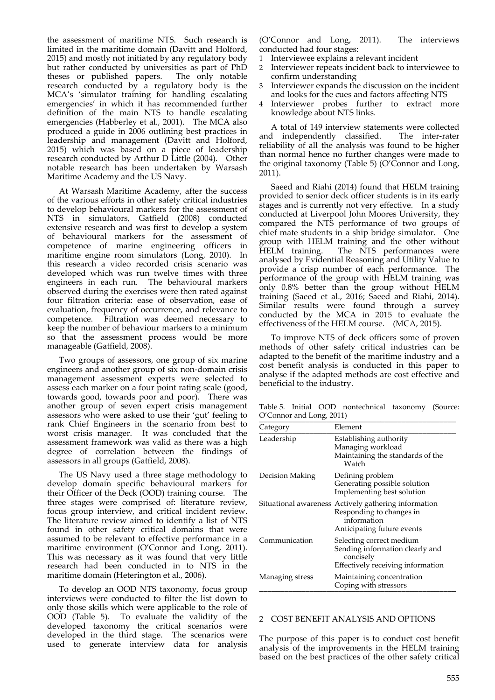the assessment of maritime NTS. Such research is limited in the maritime domain (Davitt and Holford, 2015) and mostly not initiated by any regulatory body but rather conducted by universities as part of PhD<br>theses or published papers. The only notable theses or published papers. research conducted by a regulatory body is the MCA's 'simulator training for handling escalating emergencies' in which it has recommended further definition of the main NTS to handle escalating emergencies (Habberley et al., 2001). The MCA also produced a guide in 2006 outlining best practices in leadership and management (Davitt and Holford, 2015) which was based on a piece of leadership research conducted by Arthur D Little (2004). Other notable research has been undertaken by Warsash Maritime Academy and the US Navy.

At Warsash Maritime Academy, after the success of the various efforts in other safety critical industries to develop behavioural markers for the assessment of NTS in simulators, Gatfield (2008) conducted extensive research and was first to develop a system of behavioural markers for the assessment of competence of marine engineering officers in maritime engine room simulators (Long, 2010). In this research a video recorded crisis scenario was developed which was run twelve times with three engineers in each run. The behavioural markers observed during the exercises were then rated against four filtration criteria: ease of observation, ease of evaluation, frequency of occurrence, and relevance to competence. Filtration was deemed necessary to keep the number of behaviour markers to a minimum so that the assessment process would be more manageable (Gatfield, 2008).

Two groups of assessors, one group of six marine engineers and another group of six non‐domain crisis management assessment experts were selected to assess each marker on a four point rating scale (good, towards good, towards poor and poor). There was another group of seven expert crisis management assessors who were asked to use their 'gut' feeling to rank Chief Engineers in the scenario from best to worst crisis manager. It was concluded that the assessment framework was valid as there was a high degree of correlation between the findings of assessors in all groups (Gatfield, 2008).

The US Navy used a three stage methodology to develop domain specific behavioural markers for their Officer of the Deck (OOD) training course. The three stages were comprised of: literature review, focus group interview, and critical incident review. The literature review aimed to identify a list of NTS found in other safety critical domains that were assumed to be relevant to effective performance in a maritime environment (O'Connor and Long, 2011). This was necessary as it was found that very little research had been conducted in to NTS in the maritime domain (Heterington et al*.*, 2006).

To develop an OOD NTS taxonomy, focus group interviews were conducted to filter the list down to only those skills which were applicable to the role of OOD (Table 5). To evaluate the validity of the developed taxonomy the critical scenarios were developed in the third stage. The scenarios were used to generate interview data for analysis

(O'Connor and Long, 2011). The interviews conducted had four stages:

- 1 Interviewee explains a relevant incident
- Interviewer repeats incident back to interviewee to confirm understanding
- Interviewer expands the discussion on the incident and looks for the cues and factors affecting NTS
- Interviewer probes further to extract more knowledge about NTS links.

A total of 149 interview statements were collected and independently classified. The inter-rater reliability of all the analysis was found to be higher than normal hence no further changes were made to the original taxonomy (Table 5) (O'Connor and Long, 2011).

Saeed and Riahi (2014) found that HELM training provided to senior deck officer students is in its early stages and is currently not very effective. In a study conducted at Liverpool John Moores University, they compared the NTS performance of two groups of chief mate students in a ship bridge simulator. One group with HELM training and the other without HELM training. The NTS performances were The NTS performances were analysed by Evidential Reasoning and Utility Value to provide a crisp number of each performance. The performance of the group with HELM training was only 0.8% better than the group without HELM training (Saeed et al., 2016; Saeed and Riahi, 2014). Similar results were found through a survey conducted by the MCA in 2015 to evaluate the effectiveness of the HELM course. (MCA, 2015).

To improve NTS of deck officers some of proven methods of other safety critical industries can be adapted to the benefit of the maritime industry and a cost benefit analysis is conducted in this paper to analyse if the adapted methods are cost effective and beneficial to the industry.

Table 5. Initial OOD nontechnical taxonomy (Source: O'Connor and Long, 2011)

| Category        | Element                                                                                                                       |
|-----------------|-------------------------------------------------------------------------------------------------------------------------------|
| Leadership      | Establishing authority<br>Managing workload<br>Maintaining the standards of the<br>Watch                                      |
| Decision Making | Defining problem<br>Generating possible solution<br>Implementing best solution                                                |
|                 | Situational awareness Actively gathering information<br>Responding to changes in<br>information<br>Anticipating future events |
| Communication   | Selecting correct medium<br>Sending information clearly and<br>concisely<br>Effectively receiving information                 |
| Managing stress | Maintaining concentration<br>Coping with stressors                                                                            |

#### 2 COST BENEFIT ANALYSIS AND OPTIONS

The purpose of this paper is to conduct cost benefit analysis of the improvements in the HELM training based on the best practices of the other safety critical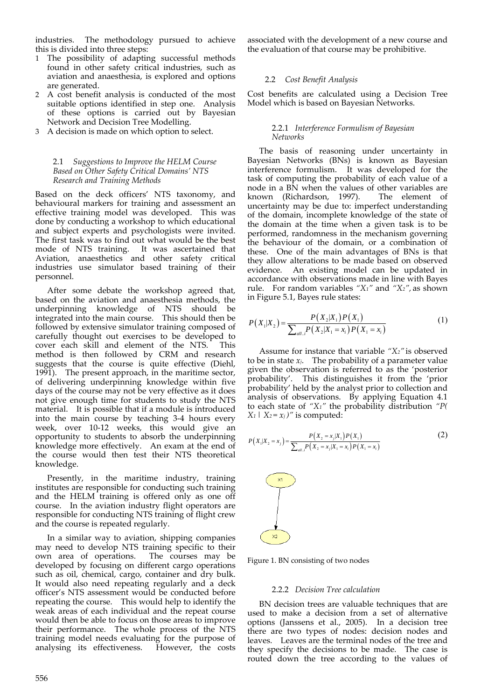industries. The methodology pursued to achieve this is divided into three steps:

- 1 The possibility of adapting successful methods found in other safety critical industries, such as aviation and anaesthesia, is explored and options are generated.
- 2 A cost benefit analysis is conducted of the most suitable options identified in step one. Analysis of these options is carried out by Bayesian Network and Decision Tree Modelling.
- 3 A decision is made on which option to select.

## 2.1 *Suggestions to Improve the HELM Course Based on Other Safety Critical Domains' NTS Research and Training Methods*

Based on the deck officers' NTS taxonomy, and behavioural markers for training and assessment an effective training model was developed. This was done by conducting a workshop to which educational and subject experts and psychologists were invited. The first task was to find out what would be the best mode of NTS training. It was ascertained that Aviation, anaesthetics and other safety critical industries use simulator based training of their personnel.

After some debate the workshop agreed that, based on the aviation and anaesthesia methods, the underpinning knowledge of NTS should be integrated into the main course. This should then be followed by extensive simulator training composed of carefully thought out exercises to be developed to cover each skill and element of the NTS. This method is then followed by CRM and research suggests that the course is quite effective (Diehl, 1991). The present approach, in the maritime sector, of delivering underpinning knowledge within five days of the course may not be very effective as it does not give enough time for students to study the NTS material. It is possible that if a module is introduced into the main course by teaching 3‐4 hours every week, over 10‐12 weeks, this would give an opportunity to students to absorb the underpinning knowledge more effectively. An exam at the end of the course would then test their NTS theoretical knowledge.

Presently, in the maritime industry, training institutes are responsible for conducting such training and the HELM training is offered only as one off course. In the aviation industry flight operators are responsible for conducting NTS training of flight crew and the course is repeated regularly.

In a similar way to aviation, shipping companies may need to develop NTS training specific to their<br>own area of operations. The courses may be own area of operations. developed by focusing on different cargo operations such as oil, chemical, cargo, container and dry bulk. It would also need repeating regularly and a deck officer's NTS assessment would be conducted before repeating the course. This would help to identify the weak areas of each individual and the repeat course would then be able to focus on those areas to improve their performance. The whole process of the NTS training model needs evaluating for the purpose of analysing its effectiveness. However, the costs

associated with the development of a new course and the evaluation of that course may be prohibitive.

## 2.2 *Cost Benefit Analysis*

Cost benefits are calculated using a Decision Tree Model which is based on Bayesian Networks.

#### 2.2.1 *Interference Formulism of Bayesian Networks*

The basis of reasoning under uncertainty in Bayesian Networks (BNs) is known as Bayesian interference formulism. It was developed for the task of computing the probability of each value of a node in a BN when the values of other variables are<br>known (Richardson, 1997). The element of known (Richardson, 1997). uncertainty may be due to: imperfect understanding of the domain, incomplete knowledge of the state of the domain at the time when a given task is to be performed, randomness in the mechanism governing the behaviour of the domain, or a combination of these. One of the main advantages of BNs is that they allow alterations to be made based on observed evidence. An existing model can be updated in accordance with observations made in line with Bayes rule. For random variables *"X1"* and *"X2",* as shown in Figure 5.1, Bayes rule states:

$$
P(X_1|X_2) = \frac{P(X_2|X_1)P(X_1)}{\sum_{all..l} P(X_2|X_1 = x_i)P(X_1 = x_i)}
$$
(1)

Assume for instance that variable *"X2"* is observed to be in state  $x_j$ . The probability of a parameter value given the observation is referred to as the 'posterior probability'. This distinguishes it from the 'prior probability' held by the analyst prior to collection and analysis of observations. By applying Equation 4.1 to each state of *"X1"* the probability distribution *"P(*  $X_1$  |  $X_2 = x_j$  /" is computed:

$$
P(X_1|X_2 = x_j) = \frac{P(X_2 = x_j|X_1)P(X_1)}{\sum_{all.i} P(X_2 = x_j|X_1 = x_i)P(X_1 = x_j)}
$$
(2)



Figure 1. BN consisting of two nodes

#### 2.2.2 *Decision Tree calculation*

BN decision trees are valuable techniques that are used to make a decision from a set of alternative options (Janssens et al., 2005). In a decision tree there are two types of nodes: decision nodes and leaves. Leaves are the terminal nodes of the tree and they specify the decisions to be made. The case is routed down the tree according to the values of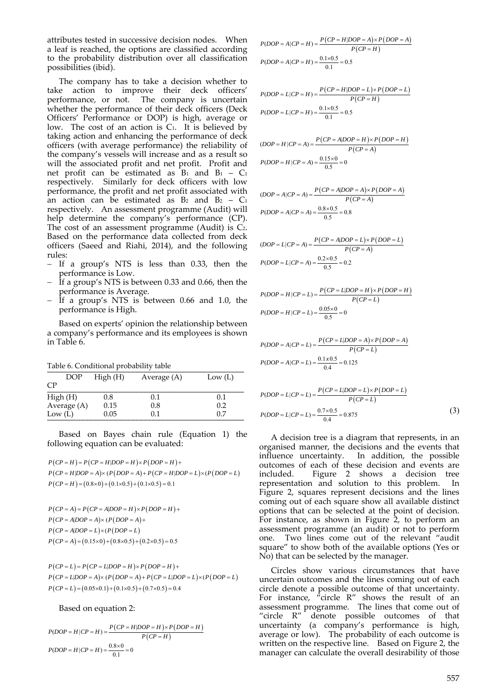attributes tested in successive decision nodes. When a leaf is reached, the options are classified according to the probability distribution over all classification possibilities (ibid).

The company has to take a decision whether to take action to improve their deck officers' performance, or not. The company is uncertain whether the performance of their deck officers (Deck Officers' Performance or DOP) is high, average or low. The cost of an action is  $C_1$ . It is believed by taking action and enhancing the performance of deck officers (with average performance) the reliability of the company's vessels will increase and as a result so will the associated profit and net profit. Profit and net profit can be estimated as  $B_1$  and  $B_1 - C_1$ respectively. Similarly for deck officers with low performance, the profit and net profit associated with an action can be estimated as  $B_2$  and  $B_2 - C_1$ respectively. An assessment programme (Audit) will help determine the company's performance (CP). The cost of an assessment programme (Audit) is  $C_2$ . Based on the performance data collected from deck officers (Saeed and Riahi, 2014), and the following rules:

- If a group's NTS is less than 0.33, then the performance is Low.
- If a group's NTS is between 0.33 and 0.66, then the performance is Average.
- If a group's NTS is between 0.66 and 1.0, the performance is High.

Based on experts' opinion the relationship between a company's performance and its employees is shown in Table 6.

Table 6. Conditional probability table

| DOP         | High(H) | Average (A) | Low $(L)$ |
|-------------|---------|-------------|-----------|
| CP          |         |             |           |
| High(H)     | 0.8     | 0.1         | 0.1       |
| Average (A) | 0.15    | 0.8         | 0.2       |
| Low $(L)$   | 0.05    | 0.1         | 0.7       |

Based on Bayes chain rule (Equation 1) the following equation can be evaluated:

 $P(CP = H) = P(CP = H|DOP = H) \times P(DOP = H) +$  $P(CP = H|DOP = A) \times (P(DOP = A) + P(CP = H|DOP = L) \times (P(DOP = L)$  $P(CP = H) = (0.8 \times 0) + (0.1 \times 0.5) + (0.1 \times 0.5) = 0.1$ 

$$
P(CP = A) = P(CP = A|DOP = H) \times P(DOP = H) +
$$
  
\n
$$
P(CP = A|DOP = A) \times (P(DOP = A) +
$$
  
\n
$$
P(CP = A|DOP = L) \times (P(DOP = L)
$$
  
\n
$$
P(CP = A) = (0.15 \times 0) + (0.8 \times 0.5) + (0.2 \times 0.5) = 0.5
$$

 $P(CP = L) = P(CP = L|DOP = H) \times P(DOP = H) +$  $P(CP = L|DOP = A) \times (P(DOP = A) + P(CP = L|DOP = L) \times (P(DOP = L))$  $P(CP = L) = (0.05 \times 0.1) + (0.1 \times 0.5) + (0.7 \times 0.5) = 0.4$ 

Based on equation 2:

$$
P(DOP = H | CP = H) = \frac{P(CP = H|DOP = H) \times P(DOP = H)}{P(CP = H)}
$$

$$
P(DOP = H | CP = H) = \frac{0.8 \times 0}{0.1} = 0
$$

$$
P(DOP = A|CP = H) = \frac{P(CP = H|DOP = A) \times P(DOP = A)}{P(CP = H)}
$$
  

$$
P(DOP = A|CP = H) = \frac{0.1 \times 0.5}{0.1} = 0.5
$$

$$
P(DOP = L|CP = H) = \frac{P(CP = H|DOP = L) \times P(DOP = L)}{P(CP = H)}
$$

$$
P(DOP = L|CP = H) = \frac{0.1 \times 0.5}{0.1} = 0.5
$$

$$
(DOP = H | CP = A) = \frac{P(CP = A | DOP = H) \times P(DOP = H)}{P(CP = A)}
$$

$$
P(DOP = H | CP = A) = \frac{0.15 \times 0}{0.5} = 0
$$

$$
(DOP = A|CP = A) = \frac{P(CP = A|DOP = A) \times P(DOP = A)}{P(CP = A)}
$$
  
P(DOP = A|CP = A) =  $\frac{0.8 \times 0.5}{0.5} = 0.8$ 

$$
(DOP = L|CP = A) = \frac{P(CP = A|DOP = L) \times P(DOP = L)}{P(CP = A)}
$$

$$
P(DOP = L|CP = A) = \frac{0.2 \times 0.5}{0.5} = 0.2
$$

$$
P(DOP = H | CP = L) = \frac{P(CP = L|DOP = H) \times P(DOP = H)}{P(CP = L)}
$$

$$
P(DOP = H | CP = L) = \frac{0.05 \times 0}{0.5} = 0
$$

$$
P(DOP = A | CP = L) = \frac{P(CP = L | DOP = A) \times P(DOP = A)}{P(CP = L)}
$$

$$
P(DOP = A | CP = L) = \frac{0.1 \times 0.5}{0.4} = 0.125
$$

$$
P(DOP = L|CP = L) = \frac{P(CP = L|DOP = L) \times P(DOP = L)}{P(CP = L)}
$$
  

$$
P(DOP = L|CP = L) = \frac{0.7 \times 0.5}{0.4} = 0.875
$$
 (3)

A decision tree is a diagram that represents, in an organised manner, the decisions and the events that influence uncertainty. In addition, the possible outcomes of each of these decision and events are included. Figure 2 shows a decision tree representation and solution to this problem. In Figure 2, squares represent decisions and the lines coming out of each square show all available distinct options that can be selected at the point of decision. For instance, as shown in Figure 2, to perform an assessment programme (an audit) or not to perform one. Two lines come out of the relevant "audit square" to show both of the available options (Yes or No) that can be selected by the manager.

Circles show various circumstances that have uncertain outcomes and the lines coming out of each circle denote a possible outcome of that uncertainty. For instance,  $\phi'$  circle R" shows the result of an assessment programme. The lines that come out of "circle R" denote possible outcomes of that uncertainty (a company's performance is high, average or low). The probability of each outcome is written on the respective line. Based on Figure 2, the manager can calculate the overall desirability of those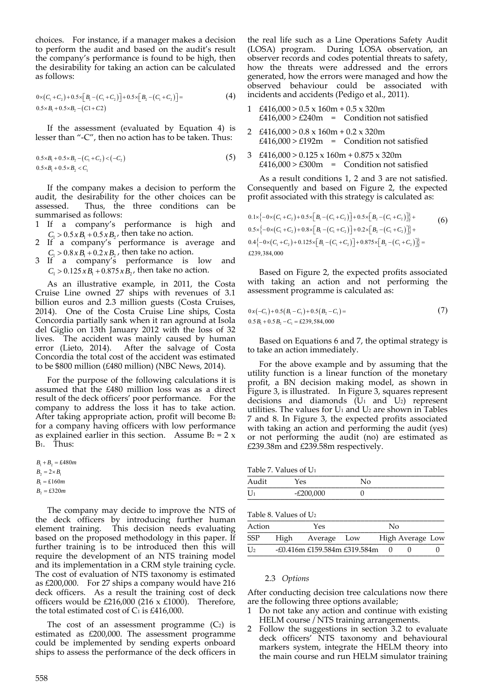choices. For instance, if a manager makes a decision to perform the audit and based on the audit's result the company's performance is found to be high, then the desirability for taking an action can be calculated as follows:

$$
0 \times (C_1 + C_2) + 0.5 \times [B_1 - (C_1 + C_2)] + 0.5 \times [B_2 - (C_1 + C_2)] =
$$
\n
$$
0.5 \times B_1 + 0.5 \times B_2 - (C_1 + C_2)
$$
\n(4)

If the assessment (evaluated by Equation 4) is lesser than "‐C", then no action has to be taken. Thus:

$$
0.5 \times B_1 + 0.5 \times B_2 - (C_1 + C_2) < (-C_2) \tag{5}
$$
\n
$$
0.5 \times B_1 + 0.5 \times B_2 < C_1
$$

If the company makes a decision to perform the audit, the desirability for the other choices can be assessed. Thus, the three conditions can be summarised as follows:

- 1 If a company's performance is high and  $C_1 > 0.5 x B_1 + 0.5 x B_2$ , then take no action.
- 2 If a company's performance is average and  $C_1 > 0.8 x B_1 + 0.2 x B_2$ , then take no action.
- 3 If a company's performance is low and  $C_1 > 0.125 x B_1 + 0.875 x B_2$ , then take no action.

As an illustrative example, in 2011, the Costa Cruise Line owned 27 ships with revenues of 3.1 billion euros and 2.3 million guests (Costa Cruises, 2014). One of the Costa Cruise Line ships, Costa Concordia partially sank when it ran aground at Isola del Giglio on 13th January 2012 with the loss of 32 lives. The accident was mainly caused by human error (Lieto, 2014). After the salvage of Costa Concordia the total cost of the accident was estimated to be \$800 million (£480 million) (NBC News, 2014).

For the purpose of the following calculations it is assumed that the £480 million loss was as a direct result of the deck officers' poor performance. For the company to address the loss it has to take action. After taking appropriate action, profit will become B2 for a company having officers with low performance as explained earlier in this section. Assume  $B_2 = 2 x$  $B_1$  Thus:

 $B_1 + B_2 = \pounds 480m$  $B_2 = 2 \times B_1$  $B_2 = 2 \times B_1$ <br> $B_1 = \pounds 160m$  $B_2 = \pounds 320m$ 

The company may decide to improve the NTS of the deck officers by introducing further human element training. This decision needs evaluating based on the proposed methodology in this paper. If further training is to be introduced then this will require the development of an NTS training model and its implementation in a CRM style training cycle. The cost of evaluation of NTS taxonomy is estimated as £200,000. For 27 ships a company would have 216 deck officers. As a result the training cost of deck officers would be £216,000 (216  $\times$  £1000). Therefore, the total estimated cost of  $C_1$  is £416,000.

The cost of an assessment programme  $(C_2)$  is estimated as £200,000. The assessment programme could be implemented by sending experts onboard ships to assess the performance of the deck officers in

the real life such as a Line Operations Safety Audit (LOSA) program. During LOSA observation, an observer records and codes potential threats to safety, how the threats were addressed and the errors generated, how the errors were managed and how the observed behaviour could be associated with incidents and accidents (Pedigo et al., 2011).

- 1  $£416,000 > 0.5 \times 160m + 0.5 \times 320m$  $£416,000 > £240m =$  Condition not satisfied
- 2 £416,000 > 0.8 x 160m + 0.2 x 320m  $£416,000 > £192m =$  Condition not satisfied
- 3 £416,000 > 0.125 x 160m + 0.875 x 320m  $£416,000 > £300m =$  Condition not satisfied

As a result conditions 1, 2 and 3 are not satisfied. Consequently and based on Figure 2, the expected profit associated with this strategy is calculated as:

$$
0.1 \times \left\{-0 \times (C_1 + C_2) + 0.5 \times [B_1 - (C_1 + C_2)] + 0.5 \times [B_2 - (C_1 + C_2)]\right\} +
$$
  
\n
$$
0.5 \times \left\{-0 \times (C_1 + C_2) + 0.8 \times [B_1 - (C_1 + C_2)] + 0.2 \times [B_2 - (C_1 + C_2)]\right\} +
$$
  
\n
$$
0.4 \left\{-0 \times (C_1 + C_2) + 0.125 \times [B_1 - (C_1 + C_2)] + 0.875 \times [B_2 - (C_1 + C_2)]\right\} =
$$
  
\n£239,384,000

Based on Figure 2, the expected profits associated with taking an action and not performing the assessment programme is calculated as:

$$
0 x (-C_1) + 0.5 (B_1 - C_1) + 0.5 (B_2 - C_1) =
$$
  
0.5 B<sub>1</sub> + 0.5 B<sub>2</sub> - C<sub>1</sub> = £239,584,000 (7)

Based on Equations 6 and 7, the optimal strategy is to take an action immediately.

For the above example and by assuming that the utility function is a linear function of the monetary profit, a BN decision making model, as shown in Figure 3, is illustrated. In Figure 3, squares represent decisions and diamonds  $(U_1 \text{ and } U_2)$  represent utilities. The values for  $U_1$  and  $U_2$  are shown in Tables 7 and 8. In Figure 3, the expected profits associated with taking an action and performing the audit (yes) or not performing the audit (no) are estimated as £239.38m and £239.58m respectively.

Table 7. Values of  $U_1$ 

| Audit | res       | ∖∖∩ |
|-------|-----------|-----|
| U     | -£200,000 |     |

Table 8. Values of U<sub>2</sub>

| Action                    | Yes |                              | Nο |  |                  |  |
|---------------------------|-----|------------------------------|----|--|------------------|--|
| SSP                       |     | High Average Low             |    |  | High Average Low |  |
| $\mathbf{I}$ $\mathbf{I}$ |     | -£0.416m £159.584m £319.584m |    |  |                  |  |

#### 2.3 *Options*

After conducting decision tree calculations now there are the following three options available;

- Do not take any action and continue with existing HELM course / NTS training arrangements.
- 2 Follow the suggestions in section 3.2 to evaluate deck officers' NTS taxonomy and behavioural markers system, integrate the HELM theory into the main course and run HELM simulator training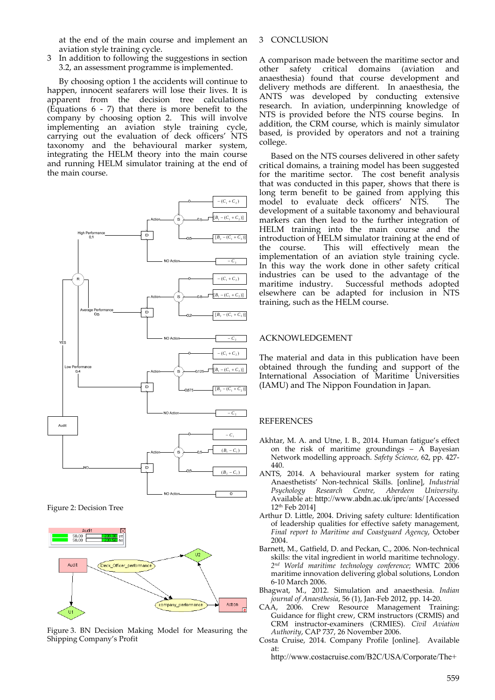at the end of the main course and implement an aviation style training cycle.

3 In addition to following the suggestions in section 3.2, an assessment programme is implemented.

By choosing option 1 the accidents will continue to happen, innocent seafarers will lose their lives. It is apparent from the decision tree calculations (Equations  $6 - 7$ ) that there is more benefit to the company by choosing option 2. This will involve implementing an aviation style training cycle, carrying out the evaluation of deck officers' NTS taxonomy and the behavioural marker system, integrating the HELM theory into the main course and running HELM simulator training at the end of the main course.



Figure 2: Decision Tree



Figure 3. BN Decision Making Model for Measuring the Shipping Company's Profit

## 3 CONCLUSION

A comparison made between the maritime sector and other safety critical domains (aviation and anaesthesia) found that course development and delivery methods are different. In anaesthesia, the ANTS was developed by conducting extensive research. In aviation, underpinning knowledge of NTS is provided before the NTS course begins. In addition, the CRM course, which is mainly simulator based, is provided by operators and not a training college.

Based on the NTS courses delivered in other safety critical domains, a training model has been suggested for the maritime sector. The cost benefit analysis that was conducted in this paper, shows that there is long term benefit to be gained from applying this model to evaluate deck officers' NTS. The development of a suitable taxonomy and behavioural markers can then lead to the further integration of HELM training into the main course and the introduction of HELM simulator training at the end of the course. This will effectively mean the implementation of an aviation style training cycle. In this way the work done in other safety critical industries can be used to the advantage of the maritime industry. Successful methods adopted elsewhere can be adapted for inclusion in NTS training, such as the HELM course.

#### ACKNOWLEDGEMENT

The material and data in this publication have been obtained through the funding and support of the International Association of Maritime Universities (IAMU) and The Nippon Foundation in Japan.

#### REFERENCES

- Akhtar, M. A. and Utne, I. B., 2014. Human fatigue's effect on the risk of maritime groundings  $\tilde{A}$  Bayesian Network modelling approach. *Safety Science,* 62, pp. 427‐ 440.
- ANTS, 2014. A behavioural marker system for rating Anaesthetists' Non‐technical Skills. [online], *Industrial Psychology Research Centre, Aberdeen University.* Available at: http://www.abdn.ac.uk/iprc/ants/ [Accessed 12th Feb 2014]
- Arthur D. Little, 2004. Driving safety culture: Identification of leadership qualities for effective safety management, *Final report to Maritime and Coastguard Agency*, October 2004.
- Barnett, M., Gatfield, D. and Peckan, C., 2006. Non‐technical skills: the vital ingredient in world maritime technology. *2nd World maritime technology conference*; WMTC 2006 maritime innovation delivering global solutions, London 6‐10 March 2006.
- Bhagwat, M., 2012. Simulation and anaesthesia. *Indian journal of Anaesthesia*, 56 (1), Jan‐Feb 2012, pp. 14‐20.
- CAA, 2006. Crew Resource Management Training: Guidance for flight crew, CRM instructors (CRMIS) and CRM instructor‐examiners (CRMIES). *Civil Aviation Authority*, CAP 737, 26 November 2006.
- Costa Cruise, 2014. Company Profile [online]. Available at:

http://www.costacruise.com/B2C/USA/Corporate/The+